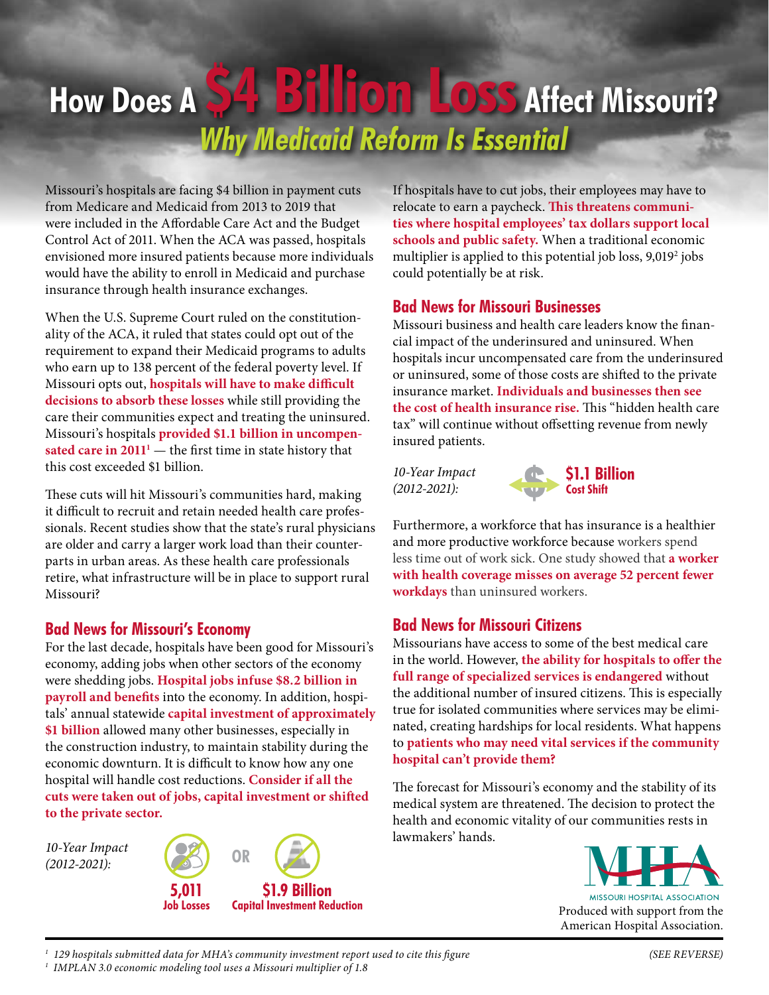# **How Does A \$4 Billion Loss Affect Missouri?** *Why Medicaid Reform Is Essential*

Missouri's hospitals are facing \$4 billion in payment cuts from Medicare and Medicaid from 2013 to 2019 that were included in the Affordable Care Act and the Budget Control Act of 2011. When the ACA was passed, hospitals envisioned more insured patients because more individuals would have the ability to enroll in Medicaid and purchase insurance through health insurance exchanges.

When the U.S. Supreme Court ruled on the constitutionality of the ACA, it ruled that states could opt out of the requirement to expand their Medicaid programs to adults who earn up to 138 percent of the federal poverty level. If Missouri opts out, **hospitals will have to make difficult decisions to absorb these losses** while still providing the care their communities expect and treating the uninsured. Missouri's hospitals **provided \$1.1 billion in uncompen**sated care in  $2011<sup>1</sup>$  — the first time in state history that this cost exceeded \$1 billion.

These cuts will hit Missouri's communities hard, making it difficult to recruit and retain needed health care professionals. Recent studies show that the state's rural physicians are older and carry a larger work load than their counterparts in urban areas. As these health care professionals retire, what infrastructure will be in place to support rural Missouri?

#### **Bad News for Missouri's Economy**

For the last decade, hospitals have been good for Missouri's economy, adding jobs when other sectors of the economy were shedding jobs. **Hospital jobs infuse \$8.2 billion in payroll and benefits** into the economy. In addition, hospitals' annual statewide **capital investment of approximately \$1 billion** allowed many other businesses, especially in the construction industry, to maintain stability during the economic downturn. It is difficult to know how any one hospital will handle cost reductions. **Consider if all the cuts were taken out of jobs, capital investment or shifted to the private sector.**

**OR** *10-Year Impact (2012-2021):*



If hospitals have to cut jobs, their employees may have to relocate to earn a paycheck. **This threatens communities where hospital employees' tax dollars support local schools and public safety.** When a traditional economic multiplier is applied to this potential job loss, 9,0192 jobs could potentially be at risk.

### **Bad News for Missouri Businesses**

Missouri business and health care leaders know the financial impact of the underinsured and uninsured. When hospitals incur uncompensated care from the underinsured or uninsured, some of those costs are shifted to the private insurance market. **Individuals and businesses then see the cost of health insurance rise.** This "hidden health care tax" will continue without offsetting revenue from newly insured patients.

*10-Year Impact (2012-2021):*



Furthermore, a workforce that has insurance is a healthier and more productive workforce because workers spend less time out of work sick. One study showed that **a worker with health coverage misses on average 52 percent fewer workdays** than uninsured workers.

## **Bad News for Missouri Citizens**

Missourians have access to some of the best medical care in the world. However, **the ability for hospitals to offer the full range of specialized services is endangered** without the additional number of insured citizens. This is especially true for isolated communities where services may be eliminated, creating hardships for local residents. What happens to **patients who may need vital services if the community hospital can't provide them?**

The forecast for Missouri's economy and the stability of its medical system are threatened. The decision to protect the health and economic vitality of our communities rests in lawmakers' hands.

> **MISSOURI HOSPITAL ASSOCIATION** Produced with support from the American Hospital Association.

*1 129 hospitals submitted data for MHA's community investment report used to cite this figure* 

*1 IMPLAN 3.0 economic modeling tool uses a Missouri multiplier of 1.8*